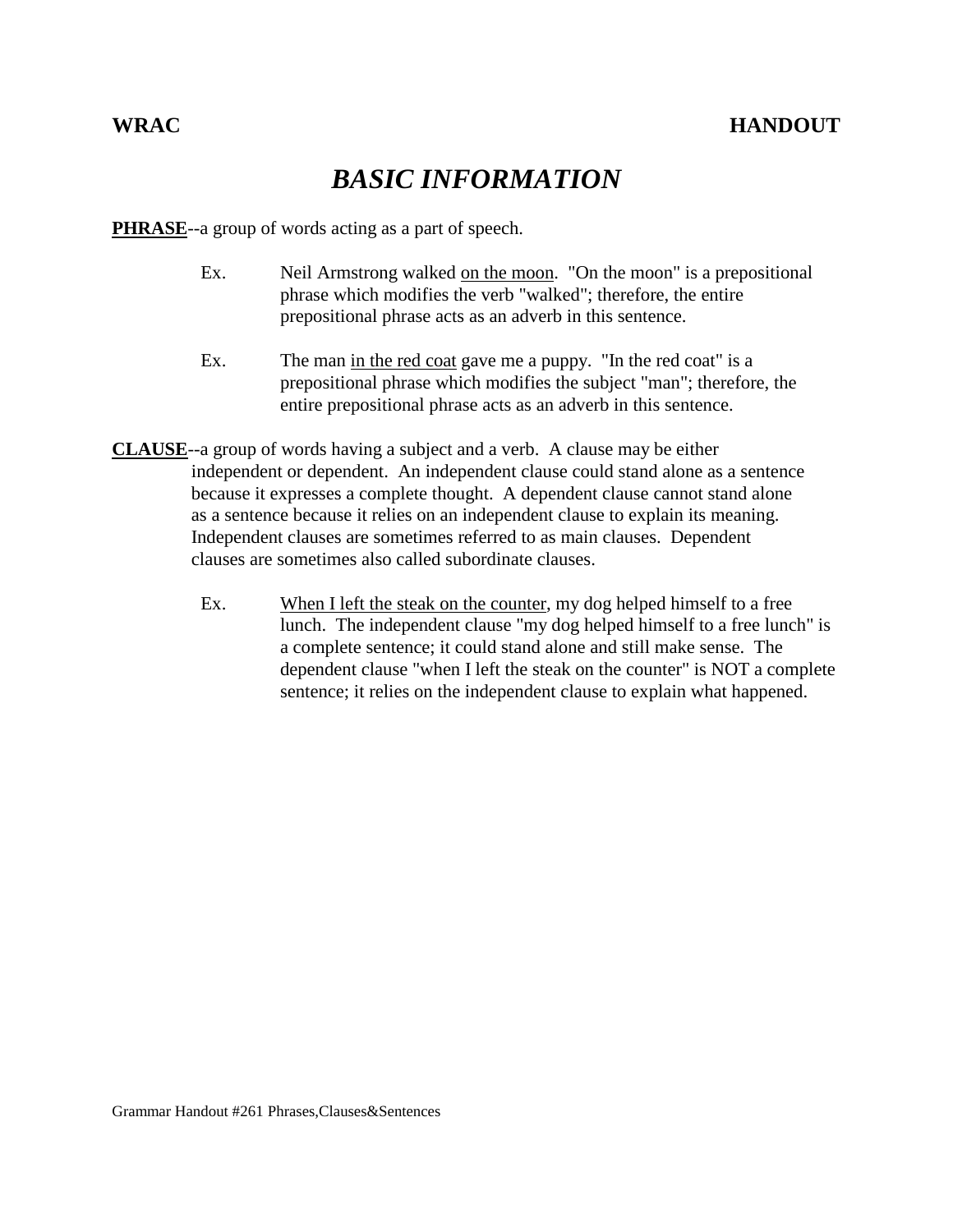## *BASIC INFORMATION*

**PHRASE**--a group of words acting as a part of speech.

- Ex. Neil Armstrong walked on the moon. "On the moon" is a prepositional phrase which modifies the verb "walked"; therefore, the entire prepositional phrase acts as an adverb in this sentence.
- Ex. The man in the red coat gave me a puppy. "In the red coat" is a prepositional phrase which modifies the subject "man"; therefore, the entire prepositional phrase acts as an adverb in this sentence.
- **CLAUSE**--a group of words having a subject and a verb. A clause may be either independent or dependent. An independent clause could stand alone as a sentence because it expresses a complete thought. A dependent clause cannot stand alone as a sentence because it relies on an independent clause to explain its meaning. Independent clauses are sometimes referred to as main clauses. Dependent clauses are sometimes also called subordinate clauses.
	- Ex. When I left the steak on the counter, my dog helped himself to a free lunch. The independent clause "my dog helped himself to a free lunch" is a complete sentence; it could stand alone and still make sense. The dependent clause "when I left the steak on the counter" is NOT a complete sentence; it relies on the independent clause to explain what happened.